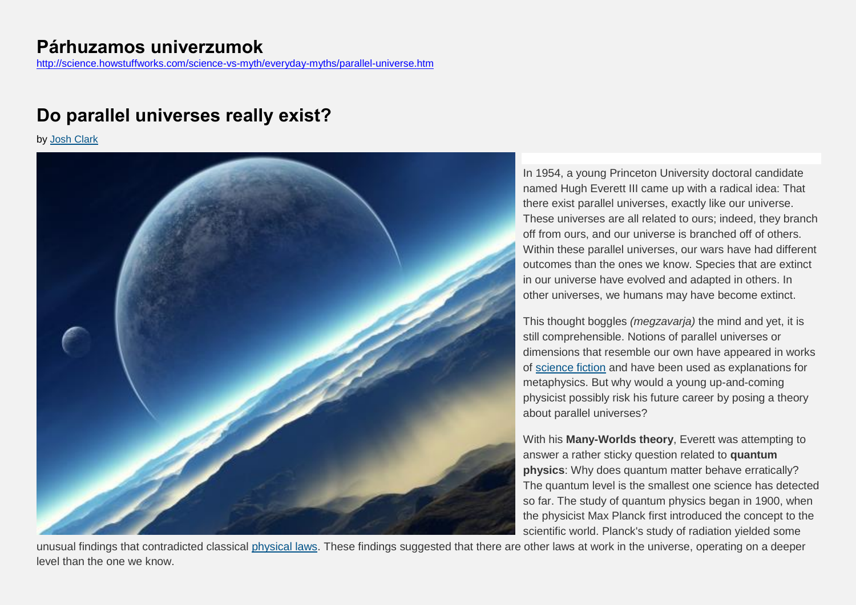# **Do parallel universes really exist?**

by [Josh Clark](http://science.howstuffworks.com/science-vs-myth/everyday-myths/josh-clark-author.htm)



In 1954, a young Princeton University doctoral candidate named Hugh Everett III came up with a radical idea: That there exist parallel universes, exactly like our universe. These universes are all related to ours; indeed, they branch off from ours, and our universe is branched off of others. Within these parallel universes, our wars have had different outcomes than the ones we know. Species that are extinct in our universe have evolved and adapted in others. In other universes, we humans may have become extinct.

This thought boggles *(megzavarja)* the mind and yet, it is still comprehensible. Notions of parallel universes or dimensions that resemble our own have appeared in works of [science fiction](http://entertainment.howstuffworks.com/sci-fi.htm) and have been used as explanations for metaphysics. But why would a young up-and-coming physicist possibly risk his future career by posing a theory about parallel universes?

With his **Many-Worlds theory**, Everett was attempting to answer a rather sticky question related to **quantum physics**: Why does quantum matter behave erratically? The quantum level is the smallest one science has detected so far. The study of quantum physics began in 1900, when the physicist Max Planck first introduced the concept to the scientific world. Planck's study of radiation yielded some

unusual findings that contradicted classical [physical laws.](http://science.howstuffworks.com/dictionary/physics-terms/physics-info2.htm) These findings suggested that there are other laws at work in the universe, operating on a deeper level than the one we know.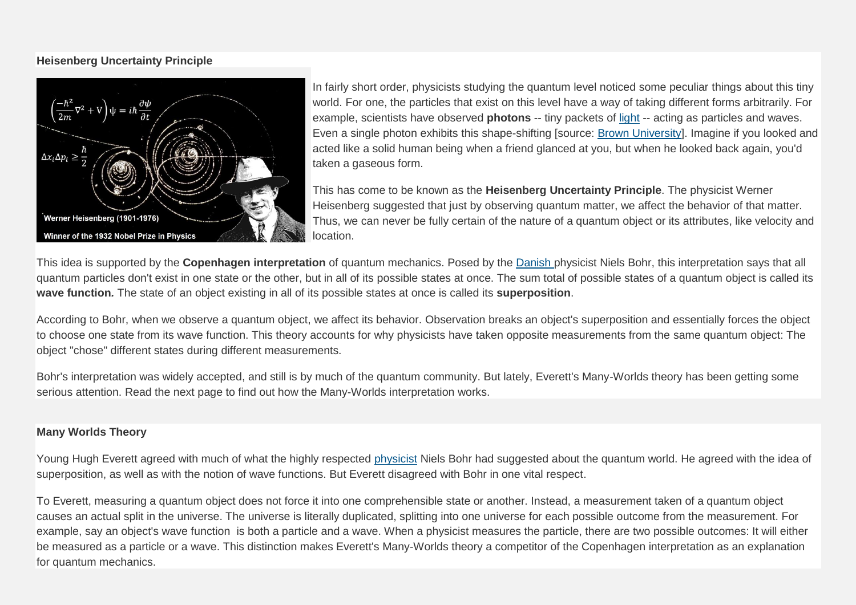## **Heisenberg Uncertainty Principle**



In fairly short order, physicists studying the quantum level noticed some peculiar things about this tiny world. For one, the particles that exist on this level have a way of taking different forms arbitrarily. For example, scientists have observed **photons** -- tiny packets of [light](http://science.howstuffworks.com/light.htm) -- acting as particles and waves. Even a single photon exhibits this shape-shifting [source: [Brown University\]](http://www.physics.brown.edu/physics/demopages/Demo/modern/demo/7a5520.htm). Imagine if you looked and acted like a solid human being when a friend glanced at you, but when he looked back again, you'd taken a gaseous form.

This has come to be known as the **Heisenberg Uncertainty Principle**. The physicist Werner Heisenberg suggested that just by observing quantum matter, we affect the behavior of that matter. Thus, we can never be fully certain of the nature of a quantum object or its attributes, like velocity and location.

This idea is supported by the **Copenhagen interpretation** of quantum mechanics. Posed by the [Danish](http://maps.howstuffworks.com/denmark-topographic-map.htm) physicist Niels Bohr, this interpretation says that all quantum particles don't exist in one state or the other, but in all of its possible states at once. The sum total of possible states of a quantum object is called its **wave function***.* The state of an object existing in all of its possible states at once is called its **superposition**.

According to Bohr, when we observe a quantum object, we affect its behavior. Observation breaks an object's superposition and essentially forces the object to choose one state from its wave function. This theory accounts for why physicists have taken opposite measurements from the same quantum object: The object "chose" different states during different measurements.

Bohr's interpretation was widely accepted, and still is by much of the quantum community. But lately, Everett's Many-Worlds theory has been getting some serious attention. Read the next page to find out how the Many-Worlds interpretation works.

## **Many Worlds Theory**

Young Hugh Everett agreed with much of what the highly respected [physicist](http://science.howstuffworks.com/physicists-channel.htm) Niels Bohr had suggested about the quantum world. He agreed with the idea of superposition, as well as with the notion of wave functions. But Everett disagreed with Bohr in one vital respect.

To Everett, measuring a quantum object does not force it into one comprehensible state or another. Instead, a measurement taken of a quantum object causes an actual split in the universe. The universe is literally duplicated, splitting into one universe for each possible outcome from the measurement. For example, say an object's wave function is both a particle and a wave. When a physicist measures the particle, there are two possible outcomes: It will either be measured as a particle or a wave. This distinction makes Everett's Many-Worlds theory a competitor of the Copenhagen interpretation as an explanation for quantum mechanics.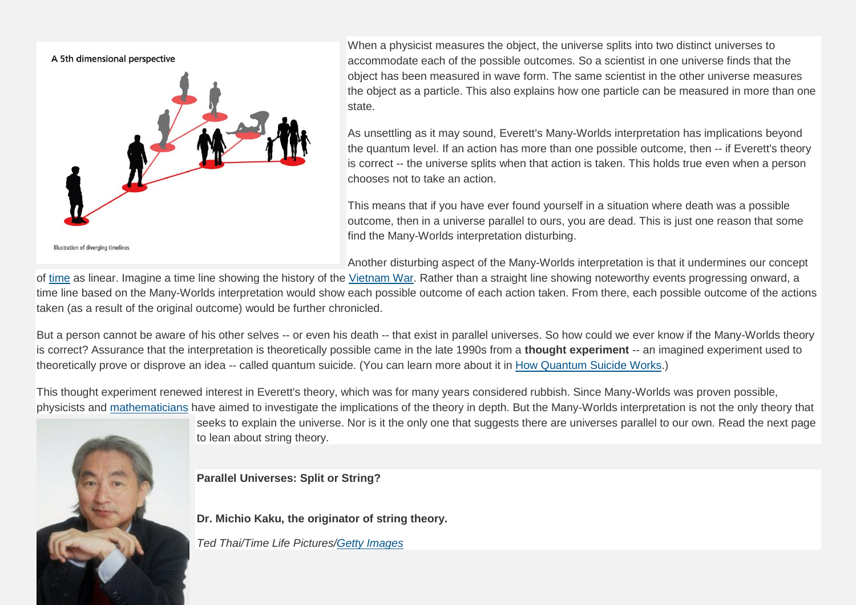

When a physicist measures the object, the universe splits into two distinct universes to accommodate each of the possible outcomes. So a scientist in one universe finds that the object has been measured in wave form. The same scientist in the other universe measures the object as a particle. This also explains how one particle can be measured in more than one state.

As unsettling as it may sound, Everett's Many-Worlds interpretation has implications beyond the quantum level. If an action has more than one possible outcome, then -- if Everett's theory is correct -- the universe splits when that action is taken. This holds true even when a person chooses not to take an action.

This means that if you have ever found yourself in a situation where death was a possible outcome, then in a universe parallel to ours, you are dead. This is just one reason that some find the Many-Worlds interpretation disturbing.

Another disturbing aspect of the Many-Worlds interpretation is that it undermines our concept

of [time](http://science.howstuffworks.com/science-vs-myth/everyday-myths/time.htm) as linear. Imagine a time line showing the history of the [Vietnam War.](http://history.howstuffworks.com/vietnam-war/vietnam-war.htm) Rather than a straight line showing noteworthy events progressing onward, a time line based on the Many-Worlds interpretation would show each possible outcome of each action taken. From there, each possible outcome of the actions taken (as a result of the original outcome) would be further chronicled.

But a person cannot be aware of his other selves -- or even his death -- that exist in parallel universes. So how could we ever know if the Many-Worlds theory is correct? Assurance that the interpretation is theoretically possible came in the late 1990s from a **thought experiment** -- an imagined experiment used to theoretically prove or disprove an idea -- called quantum suicide. (You can learn more about it in [How Quantum Suicide Works.](http://science.howstuffworks.com/innovation/science-questions/quantum-suicide.htm))

This thought experiment renewed interest in Everett's theory, which was for many years considered rubbish. Since Many-Worlds was proven possible, physicists and [mathematicians](http://history.howstuffworks.com/ancient-greece/ancient-greek-mathematicians.htm) have aimed to investigate the implications of the theory in depth. But the Many-Worlds interpretation is not the only theory that



seeks to explain the universe. Nor is it the only one that suggests there are universes parallel to our own. Read the next page to lean about string theory.

**Parallel Universes: Split or String?**

**Dr. Michio Kaku, the originator of string theory.**

*Ted Thai/Time Life Pictures[/Getty Images](http://www.gettyimages.com/Home.aspx)*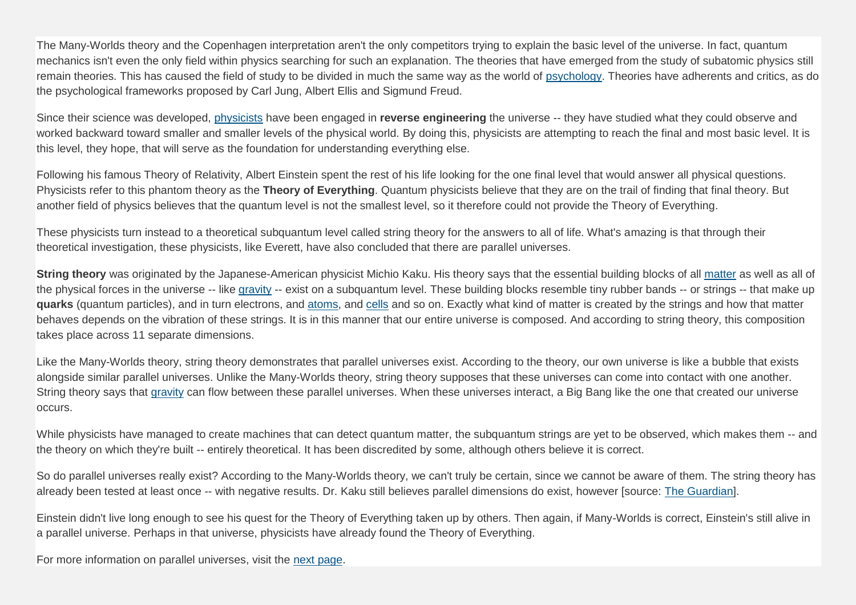The Many-Worlds theory and the Copenhagen interpretation aren't the only competitors trying to explain the basic level of the universe. In fact, quantum mechanics isn't even the only field within physics searching for such an explanation. The theories that have emerged from the study of subatomic physics still remain theories. This has caused the field of study to be divided in much the same way as the world of [psychology.](http://healthguide.howstuffworks.com/psychology-info.htm) Theories have adherents and critics, as do the psychological frameworks proposed by Carl Jung, Albert Ellis and Sigmund Freud.

Since their science was developed, [physicists](http://science.howstuffworks.com/physicists-channel.htm) have been engaged in reverse engineering the universe -- they have studied what they could observe and worked backward toward smaller and smaller levels of the physical world. By doing this, physicists are attempting to reach the final and most basic level. It is this level, they hope, that will serve as the foundation for understanding everything else.

Following his famous Theory of Relativity, Albert Einstein spent the rest of his life looking for the one final level that would answer all physical questions. Physicists refer to this phantom theory as the **Theory of Everything**. Quantum physicists believe that they are on the trail of finding that final theory. But another field of physics believes that the quantum level is not the smallest level, so it therefore could not provide the Theory of Everything.

These physicists turn instead to a theoretical subquantum level called string theory for the answers to all of life. What's amazing is that through their theoretical investigation, these physicists, like Everett, have also concluded that there are parallel universes.

**String theory** was originated by the Japanese-American physicist Michio Kaku. His theory says that the essential building blocks of all [matter](http://science.howstuffworks.com/matter-info.htm) as well as all of the physical forces in the universe -- like [gravity](http://science.howstuffworks.com/environmental/earth/geophysics/question232.htm) -- exist on a subquantum level. These building blocks resemble tiny rubber bands -- or strings -- that make up **quarks** (quantum particles), and in turn electrons, and [atoms,](http://science.howstuffworks.com/atom.htm) and [cells](http://science.howstuffworks.com/life/cellular-microscopic/cell.htm) and so on. Exactly what kind of matter is created by the strings and how that matter behaves depends on the vibration of these strings. It is in this manner that our entire universe is composed. And according to string theory, this composition takes place across 11 separate dimensions.

Like the Many-Worlds theory, string theory demonstrates that parallel universes exist. According to the theory, our own universe is like a bubble that exists alongside similar parallel universes. Unlike the Many-Worlds theory, string theory supposes that these universes can come into contact with one another. String theory says that [gravity](http://science.howstuffworks.com/environmental/earth/geophysics/question232.htm) can flow between these parallel universes. When these universes interact, a Big Bang like the one that created our universe occurs.

While physicists have managed to create machines that can detect quantum matter, the subquantum strings are yet to be observed, which makes them -- and the theory on which they're built -- entirely theoretical. It has been discredited by some, although others believe it is correct.

So do parallel universes really exist? According to the Many-Worlds theory, we can't truly be certain, since we cannot be aware of them. The string theory has already been tested at least once -- with negative results. Dr. Kaku still believes parallel dimensions do exist, however [source: [The Guardian\]](http://education.guardian.co.uk/higher/news/story/0,9830,1419422,00.html).

Einstein didn't live long enough to see his quest for the Theory of Everything taken up by others. Then again, if Many-Worlds is correct, Einstein's still alive in a parallel universe. Perhaps in that universe, physicists have already found the Theory of Everything.

For more information on parallel universes, visit the [next page.](http://science.howstuffworks.com/dictionary/physics-terms/parallel-universe-sources.htm)